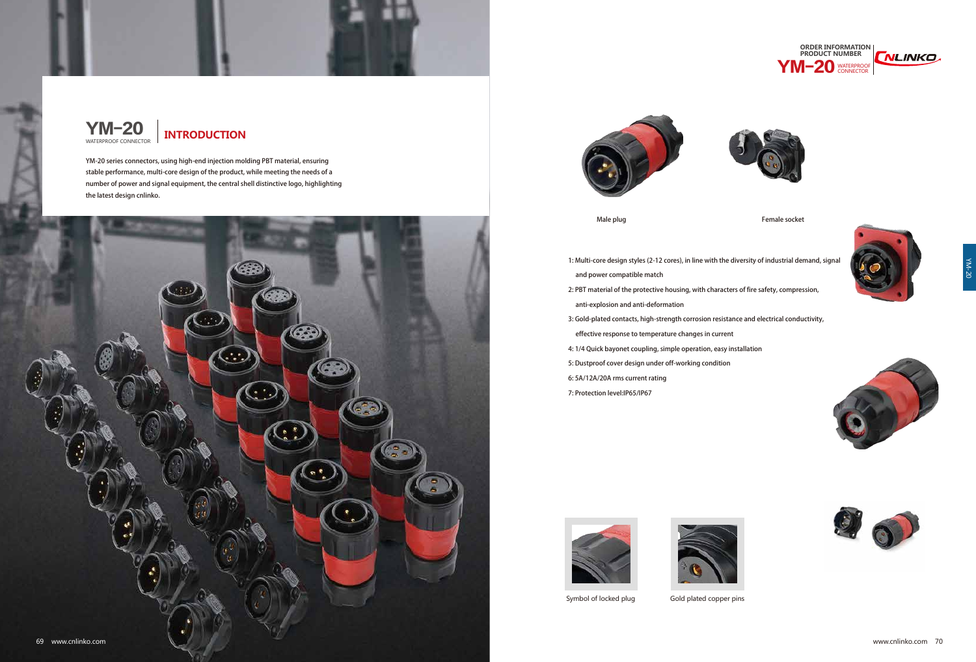YM-20 series connectors, using high-end injection molding PBT material, ensuring stable performance, multi-core design of the product, while meeting the needs of a number of power and signal equipment, the central shell distinctive logo, highlighting the latest design cnlinko.



![](_page_0_Picture_5.jpeg)

1: Multi-core design styles (2-12 cores), in line with the diversity of industrial demand, signal

![](_page_0_Picture_24.jpeg)

![](_page_0_Picture_25.jpeg)

![](_page_0_Picture_26.jpeg)

- and power compatible match 2: PBT material of the protective housing, with characters of fire safety, compression, anti-explosion and anti-deformation
- 3: Gold-plated contacts, high-strength corrosion resistance and electrical conductivity, effective response to temperature changes in current
- 4: 1/4 Quick bayonet coupling, simple operation, easy installation
- 5: Dustproof cover design under off-working condition
- 6: 5A/12A/20A rms current rating
- 7: Protection level:IP65/IP67

![](_page_0_Picture_13.jpeg)

![](_page_0_Picture_14.jpeg)

Symbol of locked plug Gold plated copper pins

![](_page_0_Picture_0.jpeg)

![](_page_0_Figure_1.jpeg)

![](_page_0_Picture_2.jpeg)

![](_page_0_Picture_17.jpeg)

![](_page_0_Picture_18.jpeg)

Male plug and the socket of the socket of the Female socket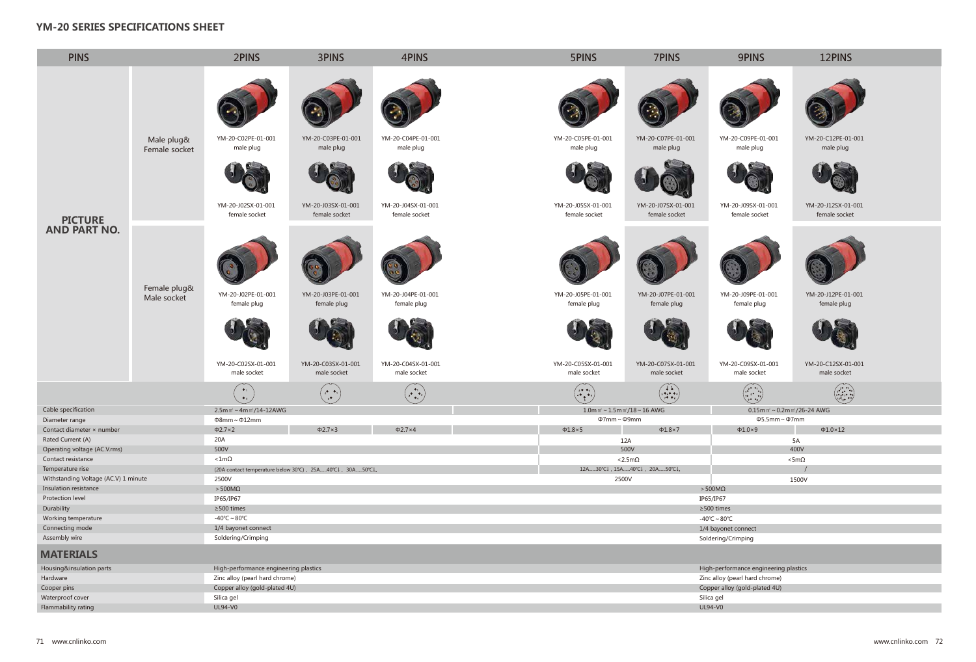![](_page_1_Picture_9.jpeg)

![](_page_1_Picture_10.jpeg)

YM-20-J12SX-01-001 female socket

![](_page_1_Picture_12.jpeg)

YM-20-J12PE-01-001 female plug

![](_page_1_Picture_14.jpeg)

YM-20-C12SX-01-001 male socket

![](_page_1_Picture_16.jpeg)

| $0.15$ m m' ~ 0.2m m'/26-24 AWG |            |
|---------------------------------|------------|
| $\Phi$ 5.5mm ~ $\Phi$ 7mm       |            |
| $1.0\times9$                    | $\Phi$ 1.0 |
|                                 | 5А         |
|                                 |            |

| <b>HUU V</b>    |  |
|-----------------|--|
| $<$ 5m $\Omega$ |  |
|                 |  |
| 1500V           |  |
|                 |  |
|                 |  |

![](_page_1_Figure_1.jpeg)

## **YM-20 SERIES SPECIFICATIONS SHEET**